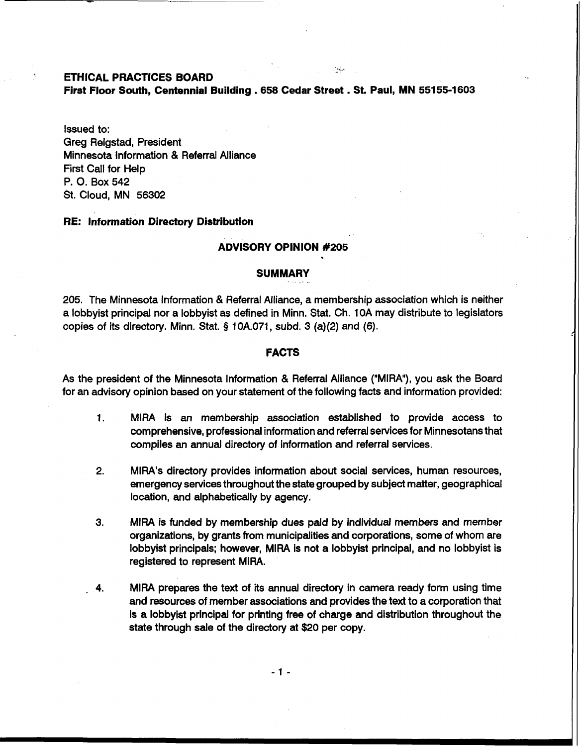# **ETHICAL PRACTICES BOARD**

**First Floor South, Centennial Building** . **658 Cedar Street** . **St. Paul, MN 55155-1 603** 

:.-

Issued to: Greg Reigstad, President Minnesota lnformation & Referral Alliance First Call for Help P. **0.** Box 542 St. Cloud, MN 56302

# **RE: lnformation Directory Distribution**

### **ADVISORY OPINION #205**

## SUMMARY

205. The Minnesota lnformation & Referral Alliance, a membership association which is neither a lobbyist principal nor a lobbyist as defined in Minn. Stat. Ch. 10A may distribute to legislators copies of its directory. Minn. Stat. § 10A.071, subd. 3 (a)(2) and (6).

#### **FACTS**

As the president of the Minnesota lnformation & Referral Alliance ("MIRA"), you ask the Board for an advisory opinion based on your statement of the following facts and information provided:

- 1. MlRA is an membership association established to provide access to comprehensive, professional information and referral services for Minnesotans that compiles an annual directory of information and referral services.
- 2. MIRA's directory provides information about social services, human resources, emergency services throughout the state grouped by subject matter, geographical location, and alphabetically by agency.
- **3.** MlRA is funded by membership dues paid by individual members and member organizations, by grants from municipalities and corporations, some of whom are lobbyist principals; however, MlRA is not a lobbyist principal, and no lobbyist is registered to represent MIRA.
- . **4.** MlRA prepares the text of its annual directory in camera ready form using time and resources of member associations and provides the text to a corporation that is a lobbyist principal for printing free of charge and distribution throughout the state through sale of the directory at \$20 per copy.

 $-1-$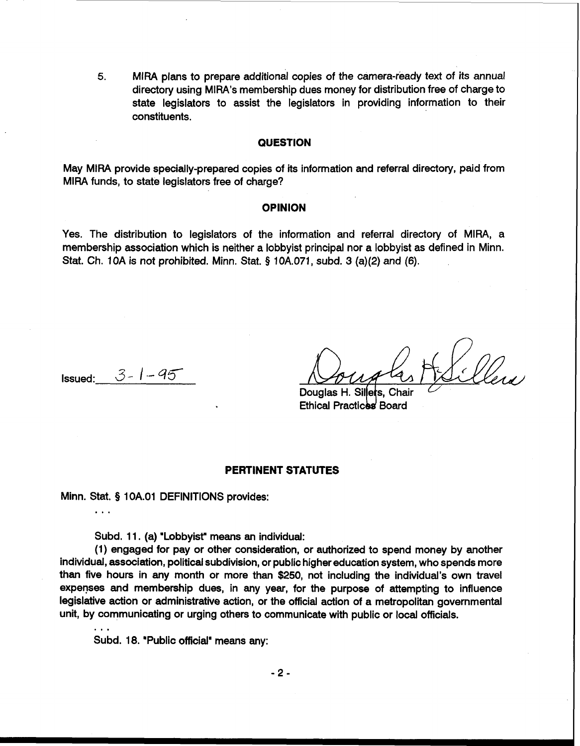**5.** MlRA plans to prepare additional copies of the camera-ieady text of its annual directory using MIRA's membership dues money for distribution free of charge to state legislators to assist the legislators in providing information to their constituents.

# **QUESTION**

May MlRA provide specially-prepared copies of its information and referral directory, paid from MlRA funds, to state legislators free of charge?

### **OPINION**

Yes. The distribution to legislators of the information and referral directory of MIRA, a membership association which is neither a lobbyist principal nor a lobbyist as defined in Minn. Stat. Ch. 1OA is not prohibited. Minn. Stat. **9** 10A.071, subd. 3 (a)(2) and (6).

**Issued:**  $3 - 1 - 45$ 

...

Douglas H. Sillers. **Ethical Practices Board** 

# **PERTINENT STATUTES**

Minn. Stat. **5** 1 OA.O1 DEFINITIONS provides:

Subd. 11. (a) 'Lobbyist" means an individual:

(1) engaged for pay or other consideration, or authorized to spend money by another individual, association, political subdivision, or public higher education system, who spends more than five hours in any month or more than \$250, not including the individual's own travel expenses and membership dues, in any year, for the purpose of attempting to influence legislative action or administrative action, or the official action of a metropolitan governmental unit, by communicating or urging others to communicate with public or local officials.

Subd. 18. "Public official" means any: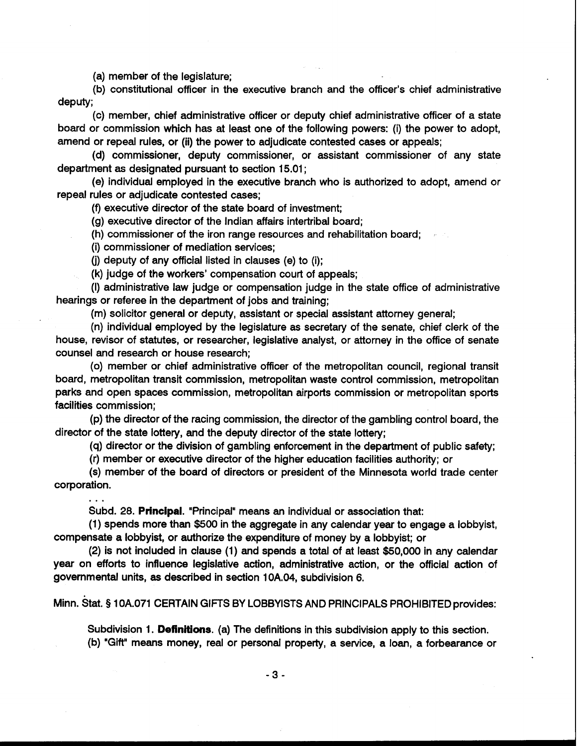(a) member of the legislature;

(b) constitutional officer in the executive branch and the officer's chief administrative deputy;

(c) member, chief administrative officer or deputy chief administrative officer of a state board or commission which has at least one of the following powers: (i) the power to adopt, amend or repeal rules, or (ii) the power to adjudicate contested cases or appeals;

(d) commissioner, deputy commissioner, or assistant commissioner of any state department as designated pursuant to section 15.01 ;

(e) individual employed in the executive branch who is authorized to adopt, amend or repeal rules or adjudicate contested cases;

(9 executive director of the state board of investment;

(g) executive director of the Indian affairs intertribal board;

(h) commissioner of the iron range resources and rehabilitation board;

(i) commissioner of mediation services;

(j) deputy of any official listed in clauses (e) to (i);

(k) judge of the workers' compensation court of appeals;

(I) administrative law judge or compensation judge in the state office of administrative hearings or referee in the department of jobs and training;

(m) solicitor general or deputy, assistant or special assistant attorney general;

(n) individual employed by the legislature as secretary of the senate, chief clerk of the house, revisor of statutes, or researcher, legislative analyst, or attorney in the office of senate counsel and research or house research;

(0) member or chief administrative officer of the metropolitan council, regional transit board, metropolitan transit commission, metropolitan waste control commission, metropolitan parks and open spaces commission, metropolitan airports commission or metropolitan sports facilities commission;

(p) the director of the racing commission, the director of the gambling control board, the director of the state lottery, and the deputy director of the state lottery;

(q) director or the division of gambling enforcement in the department of public safety;

(r) member or executive director of the higher education facilities authority; or

(s) member of the board of directors or president of the Minnesota world trade center corporation.

. . .<br>Subd. 28. **Principal**. "Principal" means an individual or association that:

(1) spends more than \$500 in the aggregate in any calendar year to engage a lobbyist, compensate a lobbyist, or authorize the expenditure of money by a lobbyist; or

(2) is not included in clause (1) and spends a total of at least \$50,000 in any calendar year on efforts to influence legislative action, administrative action, or the official action of governmental units, as described in section 10A.04, subdivision 6.

Minn. stat. **f** 10A.071 CERTAIN GIFTS BY LOBBYISTS AND PRINCIPALS PROHIBITED provides:

Subdivision 1. Definitions. (a) The definitions in this subdivision apply to this section. (b) "Gift" means money, real or personal property, a service, a loan, a forbearance or